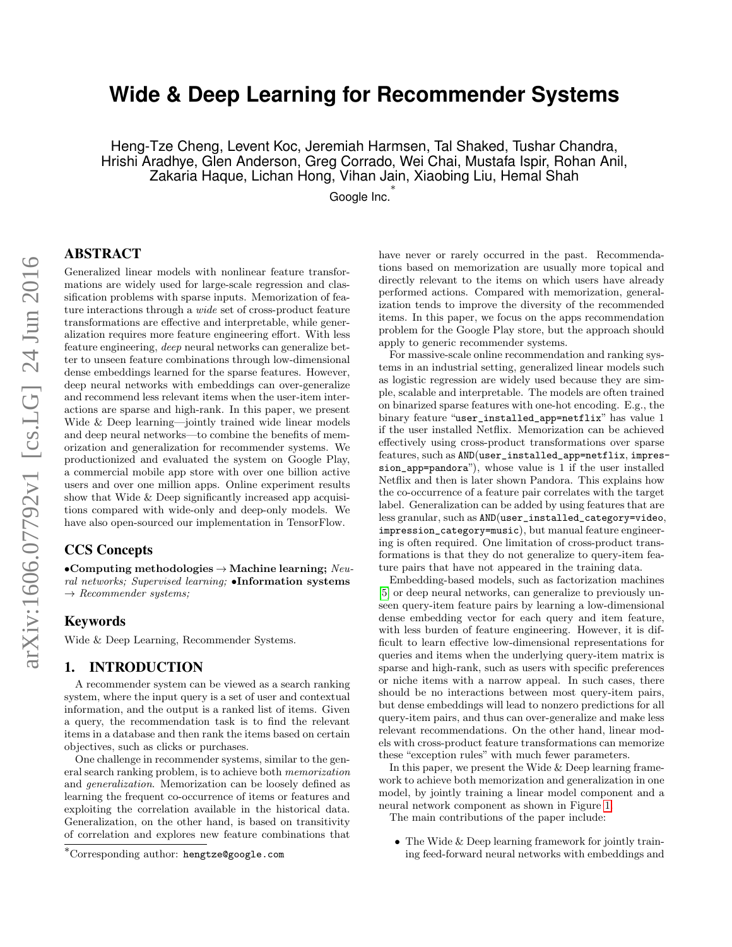# **Wide & Deep Learning for Recommender Systems**

Heng-Tze Cheng, Levent Koc, Jeremiah Harmsen, Tal Shaked, Tushar Chandra, Hrishi Aradhye, Glen Anderson, Greg Corrado, Wei Chai, Mustafa Ispir, Rohan Anil, Zakaria Haque, Lichan Hong, Vihan Jain, Xiaobing Liu, Hemal Shah ∗

Google Inc.

# ABSTRACT

Generalized linear models with nonlinear feature transformations are widely used for large-scale regression and classification problems with sparse inputs. Memorization of feature interactions through a wide set of cross-product feature transformations are effective and interpretable, while generalization requires more feature engineering effort. With less feature engineering, deep neural networks can generalize better to unseen feature combinations through low-dimensional dense embeddings learned for the sparse features. However, deep neural networks with embeddings can over-generalize and recommend less relevant items when the user-item interactions are sparse and high-rank. In this paper, we present Wide & Deep learning—jointly trained wide linear models and deep neural networks—to combine the benefits of memorization and generalization for recommender systems. We productionized and evaluated the system on Google Play, a commercial mobile app store with over one billion active users and over one million apps. Online experiment results show that Wide & Deep significantly increased app acquisitions compared with wide-only and deep-only models. We have also open-sourced our implementation in TensorFlow.

## CCS Concepts

•Computing methodologies  $\rightarrow$  Machine learning; Neural networks; Supervised learning; •Information systems  $\rightarrow$  Recommender systems;

## Keywords

Wide & Deep Learning, Recommender Systems.

# 1. INTRODUCTION

A recommender system can be viewed as a search ranking system, where the input query is a set of user and contextual information, and the output is a ranked list of items. Given a query, the recommendation task is to find the relevant items in a database and then rank the items based on certain objectives, such as clicks or purchases.

One challenge in recommender systems, similar to the general search ranking problem, is to achieve both memorization and generalization. Memorization can be loosely defined as learning the frequent co-occurrence of items or features and exploiting the correlation available in the historical data. Generalization, on the other hand, is based on transitivity of correlation and explores new feature combinations that

have never or rarely occurred in the past. Recommendations based on memorization are usually more topical and directly relevant to the items on which users have already performed actions. Compared with memorization, generalization tends to improve the diversity of the recommended items. In this paper, we focus on the apps recommendation problem for the Google Play store, but the approach should apply to generic recommender systems.

For massive-scale online recommendation and ranking systems in an industrial setting, generalized linear models such as logistic regression are widely used because they are simple, scalable and interpretable. The models are often trained on binarized sparse features with one-hot encoding. E.g., the binary feature "user\_installed\_app=netflix" has value 1 if the user installed Netflix. Memorization can be achieved effectively using cross-product transformations over sparse features, such as AND(user\_installed\_app=netflix, impression\_app=pandora"), whose value is 1 if the user installed Netflix and then is later shown Pandora. This explains how the co-occurrence of a feature pair correlates with the target label. Generalization can be added by using features that are less granular, such as AND(user\_installed\_category=video, impression\_category=music), but manual feature engineering is often required. One limitation of cross-product transformations is that they do not generalize to query-item feature pairs that have not appeared in the training data.

Embedding-based models, such as factorization machines [\[5\]](#page-3-0) or deep neural networks, can generalize to previously unseen query-item feature pairs by learning a low-dimensional dense embedding vector for each query and item feature, with less burden of feature engineering. However, it is difficult to learn effective low-dimensional representations for queries and items when the underlying query-item matrix is sparse and high-rank, such as users with specific preferences or niche items with a narrow appeal. In such cases, there should be no interactions between most query-item pairs, but dense embeddings will lead to nonzero predictions for all query-item pairs, and thus can over-generalize and make less relevant recommendations. On the other hand, linear models with cross-product feature transformations can memorize these "exception rules" with much fewer parameters.

In this paper, we present the Wide & Deep learning framework to achieve both memorization and generalization in one model, by jointly training a linear model component and a neural network component as shown in Figure [1.](#page-1-0)

The main contributions of the paper include:

• The Wide & Deep learning framework for jointly training feed-forward neural networks with embeddings and

<sup>∗</sup>Corresponding author: hengtze@google.com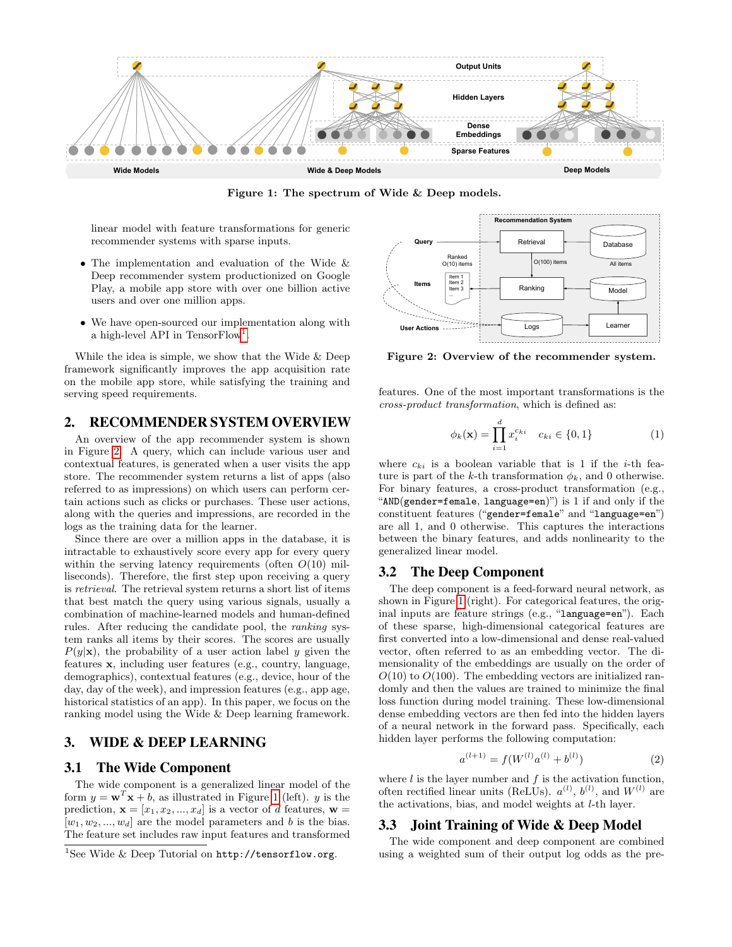

<span id="page-1-0"></span>Figure 1: The spectrum of Wide & Deep models.

linear model with feature transformations for generic recommender systems with sparse inputs.

- The implementation and evaluation of the Wide & Deep recommender system productionized on Google Play, a mobile app store with over one billion active users and over one million apps.
- We have open-sourced our implementation along with a high-level API in TensorFlow<sup>[1](#page-1-1)</sup>.

While the idea is simple, we show that the Wide & Deep framework significantly improves the app acquisition rate on the mobile app store, while satisfying the training and serving speed requirements.

## 2. RECOMMENDER SYSTEM OVERVIEW

An overview of the app recommender system is shown in Figure [2.](#page-1-2) A query, which can include various user and contextual features, is generated when a user visits the app store. The recommender system returns a list of apps (also referred to as impressions) on which users can perform certain actions such as clicks or purchases. These user actions, along with the queries and impressions, are recorded in the logs as the training data for the learner.

Since there are over a million apps in the database, it is intractable to exhaustively score every app for every query within the serving latency requirements (often  $O(10)$  milliseconds). Therefore, the first step upon receiving a query is retrieval. The retrieval system returns a short list of items that best match the query using various signals, usually a combination of machine-learned models and human-defined rules. After reducing the candidate pool, the ranking system ranks all items by their scores. The scores are usually  $P(y|\mathbf{x})$ , the probability of a user action label y given the features x, including user features (e.g., country, language, demographics), contextual features (e.g., device, hour of the day, day of the week), and impression features (e.g., app age, historical statistics of an app). In this paper, we focus on the ranking model using the Wide & Deep learning framework.

# 3. WIDE & DEEP LEARNING

#### 3.1 The Wide Component

The wide component is a generalized linear model of the form  $y = \mathbf{w}^T \mathbf{x} + b$ , as illustrated in Figure [1](#page-1-0) (left). y is the prediction,  $\mathbf{x} = [x_1, x_2, ..., x_d]$  is a vector of d features,  $\mathbf{w} =$  $[w_1, w_2, ..., w_d]$  are the model parameters and b is the bias. The feature set includes raw input features and transformed



<span id="page-1-2"></span>Figure 2: Overview of the recommender system.

features. One of the most important transformations is the cross-product transformation, which is defined as:

$$
\phi_k(\mathbf{x}) = \prod_{i=1}^d x_i^{c_{ki}} \quad c_{ki} \in \{0, 1\}
$$
 (1)

where  $c_{ki}$  is a boolean variable that is 1 if the *i*-th feature is part of the k-th transformation  $\phi_k$ , and 0 otherwise. For binary features, a cross-product transformation (e.g., " $AND(gender=female, language=en)$ ") is 1 if and only if the constituent features ("gender=female" and "language=en") are all 1, and 0 otherwise. This captures the interactions between the binary features, and adds nonlinearity to the generalized linear model.

# 3.2 The Deep Component

The deep component is a feed-forward neural network, as shown in Figure [1](#page-1-0) (right). For categorical features, the original inputs are feature strings (e.g., "language=en"). Each of these sparse, high-dimensional categorical features are first converted into a low-dimensional and dense real-valued vector, often referred to as an embedding vector. The dimensionality of the embeddings are usually on the order of  $O(10)$  to  $O(100)$ . The embedding vectors are initialized randomly and then the values are trained to minimize the final loss function during model training. These low-dimensional dense embedding vectors are then fed into the hidden layers of a neural network in the forward pass. Specifically, each hidden layer performs the following computation:

$$
a^{(l+1)} = f(W^{(l)}a^{(l)} + b^{(l)})
$$
\n(2)

where  $l$  is the layer number and  $f$  is the activation function, often rectified linear units (ReLUs).  $a^{(l)}$ ,  $b^{(l)}$ , and  $W^{(l)}$  are the activations, bias, and model weights at l-th layer.

### 3.3 Joint Training of Wide & Deep Model

The wide component and deep component are combined using a weighted sum of their output log odds as the pre-

<span id="page-1-1"></span><sup>&</sup>lt;sup>1</sup>See Wide & Deep Tutorial on  $http://tensorflow.org$ .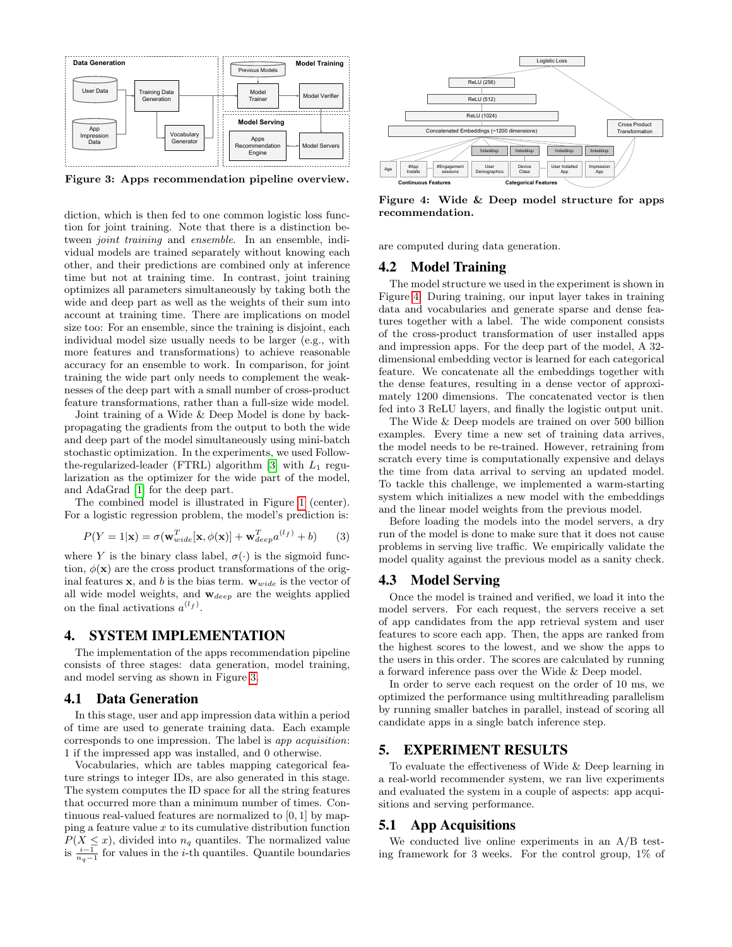

<span id="page-2-0"></span>Figure 3: Apps recommendation pipeline overview.

diction, which is then fed to one common logistic loss function for joint training. Note that there is a distinction between *joint training* and *ensemble*. In an ensemble, individual models are trained separately without knowing each other, and their predictions are combined only at inference time but not at training time. In contrast, joint training optimizes all parameters simultaneously by taking both the wide and deep part as well as the weights of their sum into account at training time. There are implications on model size too: For an ensemble, since the training is disjoint, each individual model size usually needs to be larger (e.g., with more features and transformations) to achieve reasonable accuracy for an ensemble to work. In comparison, for joint training the wide part only needs to complement the weaknesses of the deep part with a small number of cross-product feature transformations, rather than a full-size wide model.

Joint training of a Wide & Deep Model is done by backpropagating the gradients from the output to both the wide and deep part of the model simultaneously using mini-batch stochastic optimization. In the experiments, we used Followthe-regularized-leader (FTRL) algorithm  $[3]$  with  $L_1$  regularization as the optimizer for the wide part of the model, and AdaGrad [\[1\]](#page-3-2) for the deep part.

The combined model is illustrated in Figure [1](#page-1-0) (center). For a logistic regression problem, the model's prediction is:

$$
P(Y = 1|\mathbf{x}) = \sigma(\mathbf{w}_{wide}^T[\mathbf{x}, \phi(\mathbf{x})] + \mathbf{w}_{deep}^T a^{(l_f)} + b)
$$
(3)

where Y is the binary class label,  $\sigma(\cdot)$  is the sigmoid function,  $\phi(\mathbf{x})$  are the cross product transformations of the original features  $x$ , and b is the bias term.  $w_{wide}$  is the vector of all wide model weights, and  $w_{deep}$  are the weights applied on the final activations  $a^{(l_f)}$ .

### 4. SYSTEM IMPLEMENTATION

The implementation of the apps recommendation pipeline consists of three stages: data generation, model training, and model serving as shown in Figure [3.](#page-2-0)

#### 4.1 Data Generation

In this stage, user and app impression data within a period of time are used to generate training data. Each example corresponds to one impression. The label is app acquisition: 1 if the impressed app was installed, and 0 otherwise.

Vocabularies, which are tables mapping categorical feature strings to integer IDs, are also generated in this stage. The system computes the ID space for all the string features that occurred more than a minimum number of times. Continuous real-valued features are normalized to [0, 1] by mapping a feature value  $x$  to its cumulative distribution function  $P(X \leq x)$ , divided into  $n_q$  quantiles. The normalized value is  $\frac{i-1}{n_q-1}$  for values in the *i*-th quantiles. Quantile boundaries



<span id="page-2-1"></span>Figure 4: Wide & Deep model structure for apps recommendation.

are computed during data generation.

#### 4.2 Model Training

The model structure we used in the experiment is shown in Figure [4.](#page-2-1) During training, our input layer takes in training data and vocabularies and generate sparse and dense features together with a label. The wide component consists of the cross-product transformation of user installed apps and impression apps. For the deep part of the model, A 32 dimensional embedding vector is learned for each categorical feature. We concatenate all the embeddings together with the dense features, resulting in a dense vector of approximately 1200 dimensions. The concatenated vector is then fed into 3 ReLU layers, and finally the logistic output unit.

The Wide & Deep models are trained on over 500 billion examples. Every time a new set of training data arrives, the model needs to be re-trained. However, retraining from scratch every time is computationally expensive and delays the time from data arrival to serving an updated model. To tackle this challenge, we implemented a warm-starting system which initializes a new model with the embeddings and the linear model weights from the previous model.

Before loading the models into the model servers, a dry run of the model is done to make sure that it does not cause problems in serving live traffic. We empirically validate the model quality against the previous model as a sanity check.

## 4.3 Model Serving

Once the model is trained and verified, we load it into the model servers. For each request, the servers receive a set of app candidates from the app retrieval system and user features to score each app. Then, the apps are ranked from the highest scores to the lowest, and we show the apps to the users in this order. The scores are calculated by running a forward inference pass over the Wide & Deep model.

In order to serve each request on the order of 10 ms, we optimized the performance using multithreading parallelism by running smaller batches in parallel, instead of scoring all candidate apps in a single batch inference step.

# 5. EXPERIMENT RESULTS

To evaluate the effectiveness of Wide & Deep learning in a real-world recommender system, we ran live experiments and evaluated the system in a couple of aspects: app acquisitions and serving performance.

#### 5.1 App Acquisitions

We conducted live online experiments in an A/B testing framework for 3 weeks. For the control group, 1% of